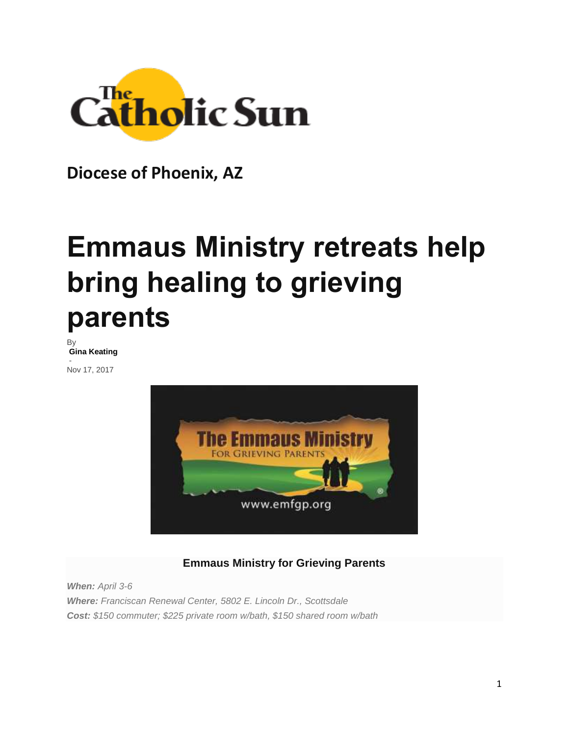

**Diocese of Phoenix, AZ**

## **Emmaus Ministry retreats help bring healing to grieving parents**

By **[Gina Keating](http://www.catholicsun.org/author/gkeating/)**

- Nov 17, 2017



## **Emmaus Ministry for Grieving Parents**

*When: April 3-6 Where: Franciscan Renewal Center, 5802 E. Lincoln Dr., Scottsdale Cost: \$150 commuter; \$225 private room w/bath, \$150 shared room w/bath*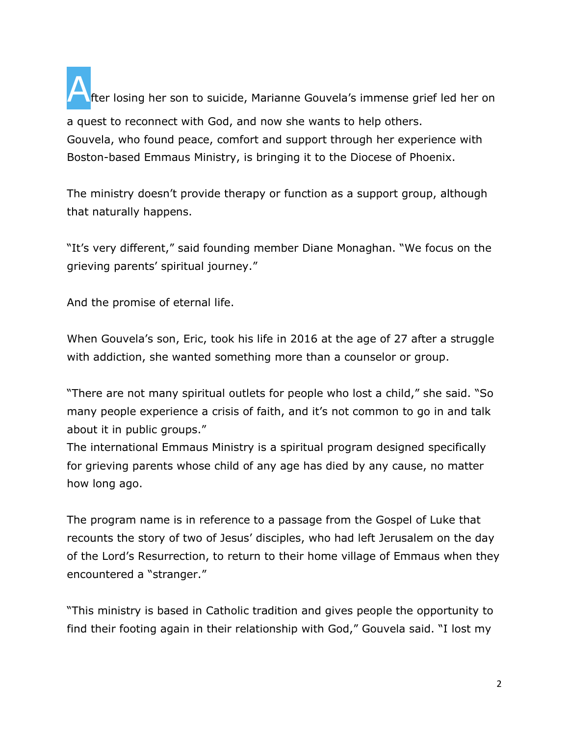After losing her son to suicide, Marianne Gouvela's immense grief led her on a quest to reconnect with God, and now she wants to help others. Gouvela, who found peace, comfort and support through her experience with Boston-based Emmaus Ministry, is bringing it to the Diocese of Phoenix.

The ministry doesn't provide therapy or function as a support group, although that naturally happens.

"It's very different," said founding member Diane Monaghan. "We focus on the grieving parents' spiritual journey."

And the promise of eternal life.

When Gouvela's son, Eric, took his life in 2016 at the age of 27 after a struggle with addiction, she wanted something more than a counselor or group.

"There are not many spiritual outlets for people who lost a child," she said. "So many people experience a crisis of faith, and it's not common to go in and talk about it in public groups."

The international Emmaus Ministry is a spiritual program designed specifically for grieving parents whose child of any age has died by any cause, no matter how long ago.

The program name is in reference to a passage from the Gospel of Luke that recounts the story of two of Jesus' disciples, who had left Jerusalem on the day of the Lord's Resurrection, to return to their home village of Emmaus when they encountered a "stranger."

"This ministry is based in Catholic tradition and gives people the opportunity to find their footing again in their relationship with God," Gouvela said. "I lost my